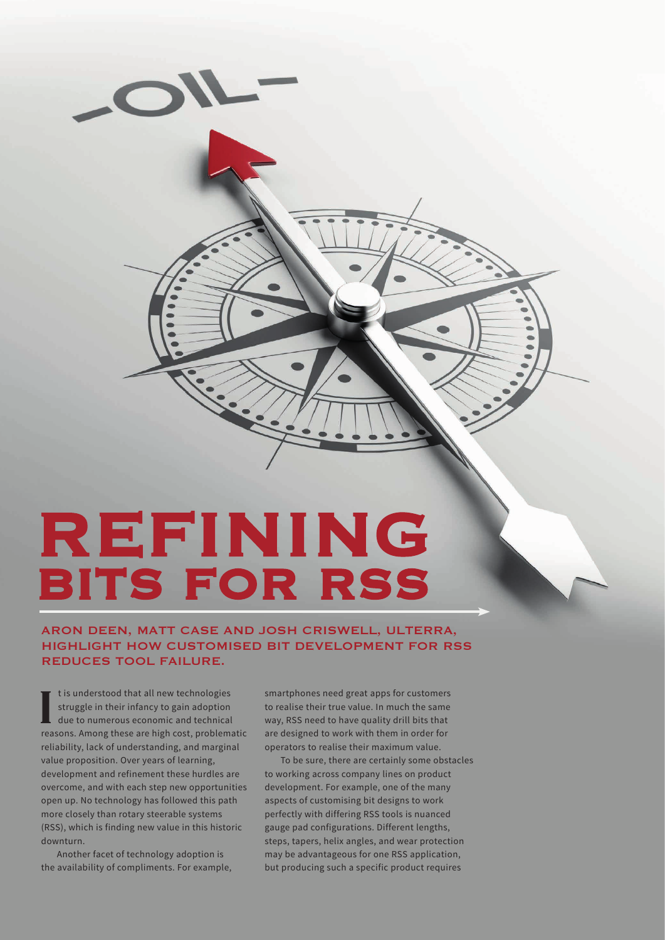

# REFINING BITS FOR RSS

## ARON DEEN, MATT CASE AND JOSH CRISWELL, ULTERRA, HIGHLIGHT HOW CUSTOMISED BIT DEVELOPMENT FOR RSS REDUCES TOOL FAILURE.

I is understood that all new technologies<br>struggle in their infancy to gain adoption<br>due to numerous economic and technical<br>reasons. Among these are high cost, problematic t is understood that all new technologies struggle in their infancy to gain adoption due to numerous economic and technical reliability, lack of understanding, and marginal value proposition. Over years of learning, development and refinement these hurdles are overcome, and with each step new opportunities open up. No technology has followed this path more closely than rotary steerable systems (RSS), which is finding new value in this historic downturn.

Another facet of technology adoption is the availability of compliments. For example, smartphones need great apps for customers to realise their true value. In much the same way, RSS need to have quality drill bits that are designed to work with them in order for operators to realise their maximum value.

To be sure, there are certainly some obstacles to working across company lines on product development. For example, one of the many aspects of customising bit designs to work perfectly with differing RSS tools is nuanced gauge pad configurations. Different lengths, steps, tapers, helix angles, and wear protection may be advantageous for one RSS application, but producing such a specific product requires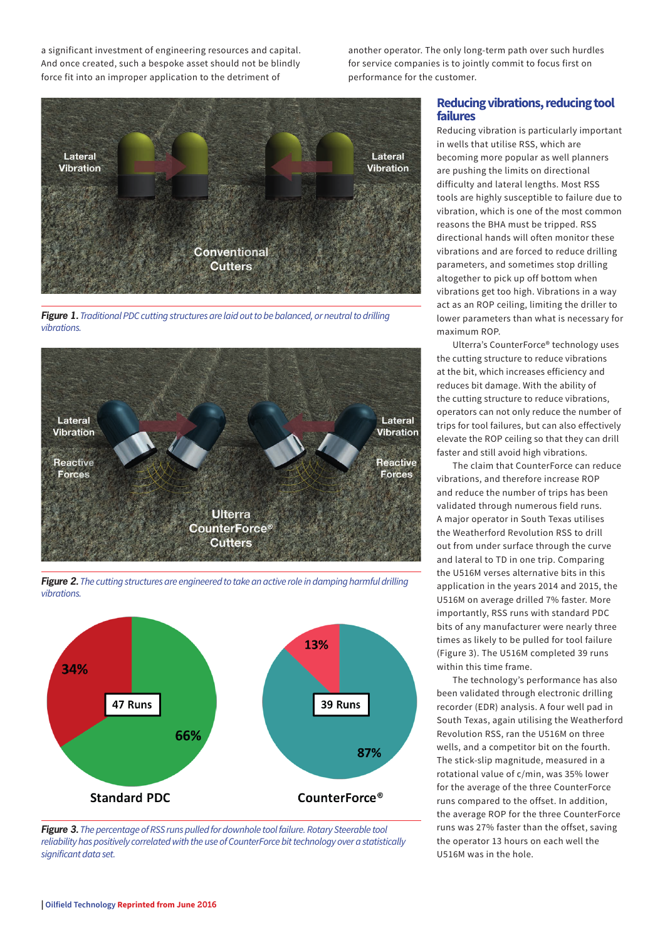a significant investment of engineering resources and capital. And once created, such a bespoke asset should not be blindly force fit into an improper application to the detriment of

another operator. The only long-term path over such hurdles for service companies is to jointly commit to focus first on performance for the customer.



*Figure 1. Traditional PDC cutting structures are laid out to be balanced, or neutral to drilling vibrations.* 



*Figure 2. The cutting structures are engineered to take an active role in damping harmful drilling vibrations.* 





## **Reducing vibrations, reducing tool failures**

Reducing vibration is particularly important in wells that utilise RSS, which are becoming more popular as well planners are pushing the limits on directional difficulty and lateral lengths. Most RSS tools are highly susceptible to failure due to vibration, which is one of the most common reasons the BHA must be tripped. RSS directional hands will often monitor these vibrations and are forced to reduce drilling parameters, and sometimes stop drilling altogether to pick up off bottom when vibrations get too high. Vibrations in a way act as an ROP ceiling, limiting the driller to lower parameters than what is necessary for maximum ROP.

Ulterra's CounterForce® technology uses the cutting structure to reduce vibrations at the bit, which increases efficiency and reduces bit damage. With the ability of the cutting structure to reduce vibrations, operators can not only reduce the number of trips for tool failures, but can also effectively elevate the ROP ceiling so that they can drill faster and still avoid high vibrations.

The claim that CounterForce can reduce vibrations, and therefore increase ROP and reduce the number of trips has been validated through numerous field runs. A major operator in South Texas utilises the Weatherford Revolution RSS to drill out from under surface through the curve and lateral to TD in one trip. Comparing the U516M verses alternative bits in this application in the years 2014 and 2015, the U516M on average drilled 7% faster. More importantly, RSS runs with standard PDC bits of any manufacturer were nearly three times as likely to be pulled for tool failure (Figure 3). The U516M completed 39 runs within this time frame.

The technology's performance has also been validated through electronic drilling recorder (EDR) analysis. A four well pad in South Texas, again utilising the Weatherford Revolution RSS, ran the U516M on three wells, and a competitor bit on the fourth. The stick-slip magnitude, measured in a rotational value of c/min, was 35% lower for the average of the three CounterForce runs compared to the offset. In addition, the average ROP for the three CounterForce runs was 27% faster than the offset, saving the operator 13 hours on each well the U516M was in the hole.